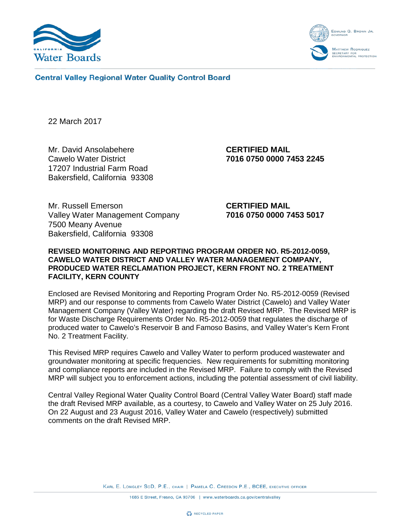



**Central Valley Regional Water Quality Control Board** 

22 March 2017

Mr. David Ansolabehere **CERTIFIED MAIL** Cawelo Water District **7016 0750 0000 7453 2245** 17207 Industrial Farm Road Bakersfield, California 93308

Mr. Russell Emerson **CERTIFIED MAIL** Valley Water Management Company **7016 0750 0000 7453 5017** 7500 Meany Avenue Bakersfield, California 93308

### **REVISED MONITORING AND REPORTING PROGRAM ORDER NO. R5-2012-0059, CAWELO WATER DISTRICT AND VALLEY WATER MANAGEMENT COMPANY, PRODUCED WATER RECLAMATION PROJECT, KERN FRONT NO. 2 TREATMENT FACILITY, KERN COUNTY**

Enclosed are Revised Monitoring and Reporting Program Order No. R5-2012-0059 (Revised MRP) and our response to comments from Cawelo Water District (Cawelo) and Valley Water Management Company (Valley Water) regarding the draft Revised MRP. The Revised MRP is for Waste Discharge Requirements Order No. R5-2012-0059 that regulates the discharge of produced water to Cawelo's Reservoir B and Famoso Basins, and Valley Water's Kern Front No. 2 Treatment Facility.

This Revised MRP requires Cawelo and Valley Water to perform produced wastewater and groundwater monitoring at specific frequencies. New requirements for submitting monitoring and compliance reports are included in the Revised MRP. Failure to comply with the Revised MRP will subject you to enforcement actions, including the potential assessment of civil liability.

Central Valley Regional Water Quality Control Board (Central Valley Water Board) staff made the draft Revised MRP available, as a courtesy, to Cawelo and Valley Water on 25 July 2016. On 22 August and 23 August 2016, Valley Water and Cawelo (respectively) submitted comments on the draft Revised MRP.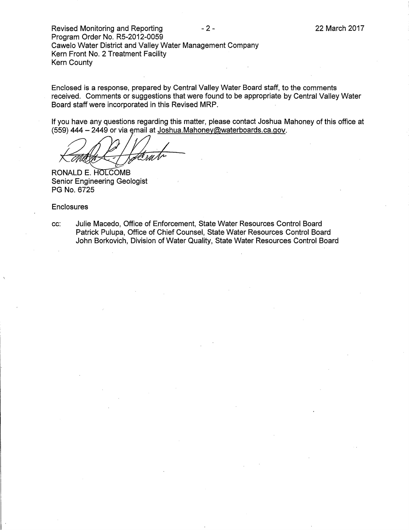Revised Monitoring and Reporting  $-2 -$ Program Order No. R5-2012-0059 Cawelo Water District and Valley Water Management Company Kern Front No. 2 Treatment Facility Kern County

Enclosed is a response, prepared by Central Valley Water Board staff, to the comments received. Comments or suggestions that were found to be appropriate by Central Valley Water Board staff were incorporated in this Revised MRP.

If you have any questions regarding this matter, please contact Joshua Mahoney of this office at (559) 444 - 2449 or via email at Joshua.Mahoney@waterboards.ca.gov.

RONALD E. HOLCOMB Senior Engineering Geologist PG No. 6725

#### **Enclosures**

cc: Julie Macedo, Office of Enforcement, State Water Resources Control Board Patrick Pulupa, Office of Chief Counsel, State Water Resources Control Board John Berkovich, Division of Water Quality, State Water Resources Control Board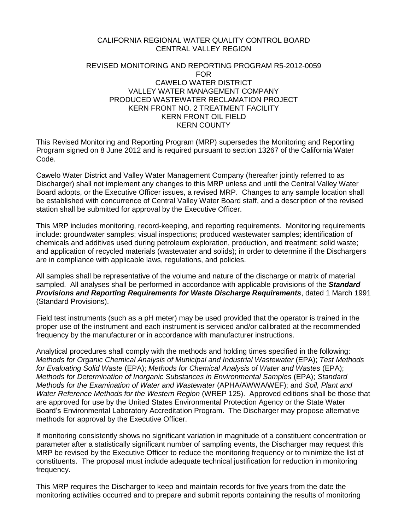#### CALIFORNIA REGIONAL WATER QUALITY CONTROL BOARD CENTRAL VALLEY REGION

#### REVISED MONITORING AND REPORTING PROGRAM R5-2012-0059 FOR CAWELO WATER DISTRICT VALLEY WATER MANAGEMENT COMPANY PRODUCED WASTEWATER RECLAMATION PROJECT KERN FRONT NO. 2 TREATMENT FACILITY KERN FRONT OIL FIELD KERN COUNTY

This Revised Monitoring and Reporting Program (MRP) supersedes the Monitoring and Reporting Program signed on 8 June 2012 and is required pursuant to section 13267 of the California Water Code.

Cawelo Water District and Valley Water Management Company (hereafter jointly referred to as Discharger) shall not implement any changes to this MRP unless and until the Central Valley Water Board adopts, or the Executive Officer issues, a revised MRP. Changes to any sample location shall be established with concurrence of Central Valley Water Board staff, and a description of the revised station shall be submitted for approval by the Executive Officer.

This MRP includes monitoring, record-keeping, and reporting requirements. Monitoring requirements include: groundwater samples; visual inspections; produced wastewater samples; identification of chemicals and additives used during petroleum exploration, production, and treatment; solid waste; and application of recycled materials (wastewater and solids); in order to determine if the Dischargers are in compliance with applicable laws, regulations, and policies.

All samples shall be representative of the volume and nature of the discharge or matrix of material sampled. All analyses shall be performed in accordance with applicable provisions of the *Standard Provisions and Reporting Requirements for Waste Discharge Requirements*, dated 1 March 1991 (Standard Provisions).

Field test instruments (such as a pH meter) may be used provided that the operator is trained in the proper use of the instrument and each instrument is serviced and/or calibrated at the recommended frequency by the manufacturer or in accordance with manufacturer instructions.

Analytical procedures shall comply with the methods and holding times specified in the following: *Methods for Organic Chemical Analysis of Municipal and Industrial Wastewater* (EPA); *Test Methods for Evaluating Solid Waste* (EPA); *Methods for Chemical Analysis of Water and Wastes* (EPA); *Methods for Determination of Inorganic Substances in Environmental Samples* (EPA); *Standard Methods for the Examination of Water and Wastewater* (APHA/AWWA/WEF); and *Soil, Plant and Water Reference Methods for the Western Region* (WREP 125). Approved editions shall be those that are approved for use by the United States Environmental Protection Agency or the State Water Board's Environmental Laboratory Accreditation Program. The Discharger may propose alternative methods for approval by the Executive Officer.

If monitoring consistently shows no significant variation in magnitude of a constituent concentration or parameter after a statistically significant number of sampling events, the Discharger may request this MRP be revised by the Executive Officer to reduce the monitoring frequency or to minimize the list of constituents. The proposal must include adequate technical justification for reduction in monitoring frequency.

This MRP requires the Discharger to keep and maintain records for five years from the date the monitoring activities occurred and to prepare and submit reports containing the results of monitoring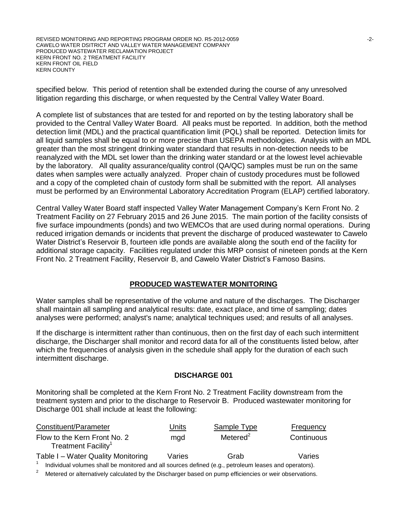REVISED MONITORING AND REPORTING PROGRAM ORDER NO. R5-2012-0059 -2- CAWELO WATER DSITRICT AND VALLEY WATER MANAGEMENT COMPANY PRODUCED WASTEWATER RECLAMATION PROJECT KERN FRONT NO. 2 TREATMENT FACILITY KERN FRONT OIL FIELD KERN COUNTY

specified below. This period of retention shall be extended during the course of any unresolved litigation regarding this discharge, or when requested by the Central Valley Water Board.

A complete list of substances that are tested for and reported on by the testing laboratory shall be provided to the Central Valley Water Board. All peaks must be reported. In addition, both the method detection limit (MDL) and the practical quantification limit (PQL) shall be reported. Detection limits for all liquid samples shall be equal to or more precise than USEPA methodologies. Analysis with an MDL greater than the most stringent drinking water standard that results in non-detection needs to be reanalyzed with the MDL set lower than the drinking water standard or at the lowest level achievable by the laboratory. All quality assurance/quality control (QA/QC) samples must be run on the same dates when samples were actually analyzed. Proper chain of custody procedures must be followed and a copy of the completed chain of custody form shall be submitted with the report. All analyses must be performed by an Environmental Laboratory Accreditation Program (ELAP) certified laboratory.

Central Valley Water Board staff inspected Valley Water Management Company's Kern Front No. 2 Treatment Facility on 27 February 2015 and 26 June 2015. The main portion of the facility consists of five surface impoundments (ponds) and two WEMCOs that are used during normal operations. During reduced irrigation demands or incidents that prevent the discharge of produced wastewater to Cawelo Water District's Reservoir B, fourteen idle ponds are available along the south end of the facility for additional storage capacity. Facilities regulated under this MRP consist of nineteen ponds at the Kern Front No. 2 Treatment Facility, Reservoir B, and Cawelo Water District's Famoso Basins.

#### **PRODUCED WASTEWATER MONITORING**

Water samples shall be representative of the volume and nature of the discharges. The Discharger shall maintain all sampling and analytical results: date, exact place, and time of sampling; dates analyses were performed; analyst's name; analytical techniques used; and results of all analyses.

If the discharge is intermittent rather than continuous, then on the first day of each such intermittent discharge, the Discharger shall monitor and record data for all of the constituents listed below, after which the frequencies of analysis given in the schedule shall apply for the duration of each such intermittent discharge.

#### **DISCHARGE 001**

Monitoring shall be completed at the Kern Front No. 2 Treatment Facility downstream from the treatment system and prior to the discharge to Reservoir B. Produced wastewater monitoring for Discharge 001 shall include at least the following:

| Constituent/Parameter                                                                                 | Units  | Sample Type | Frequency  |  |
|-------------------------------------------------------------------------------------------------------|--------|-------------|------------|--|
| Flow to the Kern Front No. 2<br>Treatment Facility <sup>1</sup>                                       | mgd    | Metered $2$ | Continuous |  |
| Table I - Water Quality Monitoring                                                                    | Varies | Grab        | Varies     |  |
| Individual volumes shall be monitored and all sources defined (e.g., petroleum leases and operators). |        |             |            |  |

Metered or alternatively calculated by the Discharger based on pump efficiencies or weir observations.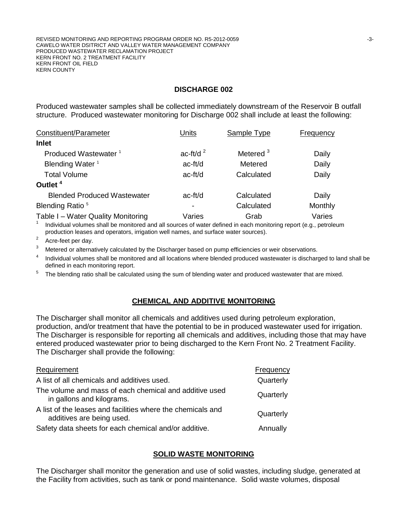### **DISCHARGE 002**

Produced wastewater samples shall be collected immediately downstream of the Reservoir B outfall structure. Produced wastewater monitoring for Discharge 002 shall include at least the following:

| Constituent/Parameter              | Units                    | Sample Type          | Frequency |
|------------------------------------|--------------------------|----------------------|-----------|
| <b>Inlet</b>                       |                          |                      |           |
| Produced Wastewater <sup>1</sup>   | ac-ft/d $^2$             | Metered <sup>3</sup> | Daily     |
| Blending Water <sup>1</sup>        | ac-ft/d                  | Metered              | Daily     |
| <b>Total Volume</b>                | ac-ft/d                  | Calculated           | Daily     |
| Outlet <sup>4</sup>                |                          |                      |           |
| <b>Blended Produced Wastewater</b> | $ac-ft/d$                | Calculated           | Daily     |
| Blending Ratio <sup>5</sup>        | $\overline{\phantom{0}}$ | Calculated           | Monthly   |
| Table I - Water Quality Monitoring | Varies                   | Grab                 | Varies    |

1 Individual volumes shall be monitored and all sources of water defined in each monitoring report (e.g., petroleum production leases and operators, irrigation well names, and surface water sources).

2 Acre-feet per day.

<sup>3</sup> Metered or alternatively calculated by the Discharger based on pump efficiencies or weir observations.

4 Individual volumes shall be monitored and all locations where blended produced wastewater is discharged to land shall be defined in each monitoring report.

<sup>5</sup> The blending ratio shall be calculated using the sum of blending water and produced wastewater that are mixed.

### **CHEMICAL AND ADDITIVE MONITORING**

The Discharger shall monitor all chemicals and additives used during petroleum exploration, production, and/or treatment that have the potential to be in produced wastewater used for irrigation. The Discharger is responsible for reporting all chemicals and additives, including those that may have entered produced wastewater prior to being discharged to the Kern Front No. 2 Treatment Facility. The Discharger shall provide the following:

| Requirement                                                                              | Frequency |
|------------------------------------------------------------------------------------------|-----------|
| A list of all chemicals and additives used.                                              | Quarterly |
| The volume and mass of each chemical and additive used<br>in gallons and kilograms.      | Quarterly |
| A list of the leases and facilities where the chemicals and<br>additives are being used. | Quarterly |
| Safety data sheets for each chemical and/or additive.                                    | Annually  |

#### **SOLID WASTE MONITORING**

The Discharger shall monitor the generation and use of solid wastes, including sludge, generated at the Facility from activities, such as tank or pond maintenance. Solid waste volumes, disposal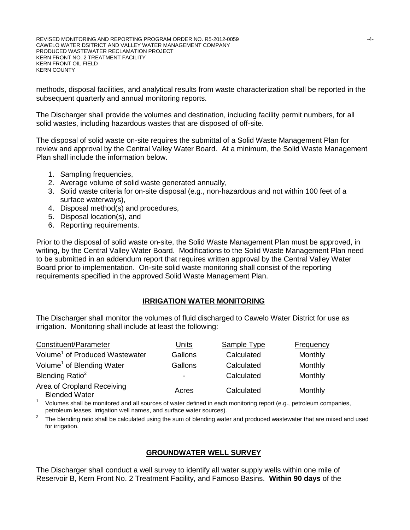methods, disposal facilities, and analytical results from waste characterization shall be reported in the subsequent quarterly and annual monitoring reports.

The Discharger shall provide the volumes and destination, including facility permit numbers, for all solid wastes, including hazardous wastes that are disposed of off-site.

The disposal of solid waste on-site requires the submittal of a Solid Waste Management Plan for review and approval by the Central Valley Water Board. At a minimum, the Solid Waste Management Plan shall include the information below.

- 1. Sampling frequencies,
- 2. Average volume of solid waste generated annually,
- 3. Solid waste criteria for on-site disposal (e.g., non-hazardous and not within 100 feet of a surface waterways),
- 4. Disposal method(s) and procedures,
- 5. Disposal location(s), and
- 6. Reporting requirements.

Prior to the disposal of solid waste on-site, the Solid Waste Management Plan must be approved, in writing, by the Central Valley Water Board. Modifications to the Solid Waste Management Plan need to be submitted in an addendum report that requires written approval by the Central Valley Water Board prior to implementation. On-site solid waste monitoring shall consist of the reporting requirements specified in the approved Solid Waste Management Plan.

### **IRRIGATION WATER MONITORING**

The Discharger shall monitor the volumes of fluid discharged to Cawelo Water District for use as irrigation. Monitoring shall include at least the following:

| Constituent/Parameter                              | Units                    | Sample Type | <b>Frequency</b> |
|----------------------------------------------------|--------------------------|-------------|------------------|
| Volume <sup>1</sup> of Produced Wastewater         | Gallons                  | Calculated  | Monthly          |
| Volume <sup>1</sup> of Blending Water              | Gallons                  | Calculated  | Monthly          |
| Blending Ratio <sup>2</sup>                        | $\overline{\phantom{0}}$ | Calculated  | Monthly          |
| Area of Cropland Receiving<br><b>Blended Water</b> | Acres                    | Calculated  | Monthly          |

1 Volumes shall be monitored and all sources of water defined in each monitoring report (e.g., petroleum companies, petroleum leases, irrigation well names, and surface water sources).

2 The blending ratio shall be calculated using the sum of blending water and produced wastewater that are mixed and used for irrigation.

### **GROUNDWATER WELL SURVEY**

The Discharger shall conduct a well survey to identify all water supply wells within one mile of Reservoir B, Kern Front No. 2 Treatment Facility, and Famoso Basins. **Within 90 days** of the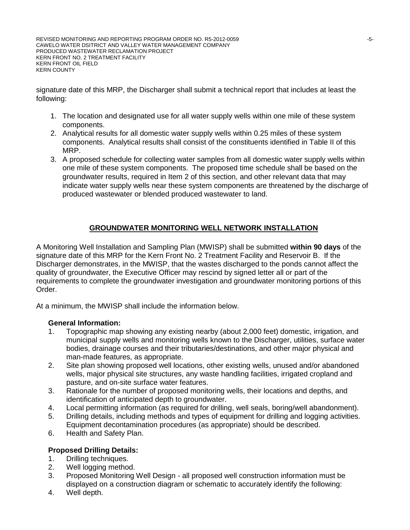signature date of this MRP, the Discharger shall submit a technical report that includes at least the following:

- 1. The location and designated use for all water supply wells within one mile of these system components.
- 2. Analytical results for all domestic water supply wells within 0.25 miles of these system components. Analytical results shall consist of the constituents identified in Table II of this MRP.
- 3. A proposed schedule for collecting water samples from all domestic water supply wells within one mile of these system components. The proposed time schedule shall be based on the groundwater results, required in Item 2 of this section, and other relevant data that may indicate water supply wells near these system components are threatened by the discharge of produced wastewater or blended produced wastewater to land.

# **GROUNDWATER MONITORING WELL NETWORK INSTALLATION**

A Monitoring Well Installation and Sampling Plan (MWISP) shall be submitted **within 90 days** of the signature date of this MRP for the Kern Front No. 2 Treatment Facility and Reservoir B. If the Discharger demonstrates, in the MWISP, that the wastes discharged to the ponds cannot affect the quality of groundwater, the Executive Officer may rescind by signed letter all or part of the requirements to complete the groundwater investigation and groundwater monitoring portions of this Order.

At a minimum, the MWISP shall include the information below.

### **General Information:**

- 1. Topographic map showing any existing nearby (about 2,000 feet) domestic, irrigation, and municipal supply wells and monitoring wells known to the Discharger, utilities, surface water bodies, drainage courses and their tributaries/destinations, and other major physical and man-made features, as appropriate.
- 2. Site plan showing proposed well locations, other existing wells, unused and/or abandoned wells, major physical site structures, any waste handling facilities, irrigated cropland and pasture, and on-site surface water features.
- 3. Rationale for the number of proposed monitoring wells, their locations and depths, and identification of anticipated depth to groundwater.
- 4. Local permitting information (as required for drilling, well seals, boring/well abandonment).
- 5. Drilling details, including methods and types of equipment for drilling and logging activities. Equipment decontamination procedures (as appropriate) should be described.
- 6. Health and Safety Plan.

# **Proposed Drilling Details:**

- 1. Drilling techniques.
- 2. Well logging method.
- 3. Proposed Monitoring Well Design all proposed well construction information must be displayed on a construction diagram or schematic to accurately identify the following:
- 4. Well depth.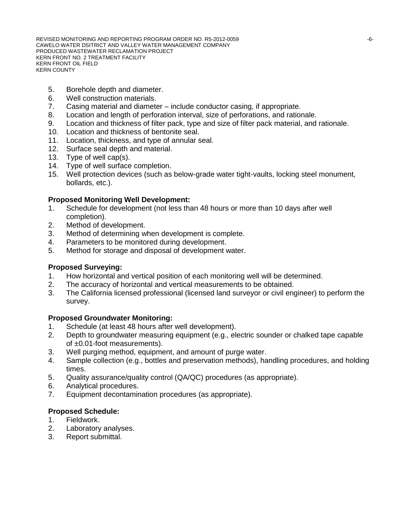REVISED MONITORING AND REPORTING PROGRAM ORDER NO. R5-2012-0059  $-6-$ CAWELO WATER DSITRICT AND VALLEY WATER MANAGEMENT COMPANY PRODUCED WASTEWATER RECLAMATION PROJECT KERN FRONT NO. 2 TREATMENT FACILITY KERN FRONT OIL FIELD KERN COUNTY

- 5. Borehole depth and diameter.
- 6. Well construction materials.
- 7. Casing material and diameter include conductor casing, if appropriate.
- 8. Location and length of perforation interval, size of perforations, and rationale.
- 9. Location and thickness of filter pack, type and size of filter pack material, and rationale.
- 10. Location and thickness of bentonite seal.
- 11. Location, thickness, and type of annular seal.
- 12. Surface seal depth and material.
- 13. Type of well cap(s).
- 14. Type of well surface completion.
- 15. Well protection devices (such as below-grade water tight-vaults, locking steel monument, bollards, etc.).

#### **Proposed Monitoring Well Development:**

- 1. Schedule for development (not less than 48 hours or more than 10 days after well completion).
- 2. Method of development.
- 3. Method of determining when development is complete.
- 4. Parameters to be monitored during development.
- 5. Method for storage and disposal of development water.

#### **Proposed Surveying:**

- 1. How horizontal and vertical position of each monitoring well will be determined.
- 2. The accuracy of horizontal and vertical measurements to be obtained.
- 3. The California licensed professional (licensed land surveyor or civil engineer) to perform the survey.

### **Proposed Groundwater Monitoring:**

- 1. Schedule (at least 48 hours after well development).
- 2. Depth to groundwater measuring equipment (e.g., electric sounder or chalked tape capable of ±0.01-foot measurements).
- 3. Well purging method, equipment, and amount of purge water.
- 4. Sample collection (e.g., bottles and preservation methods), handling procedures, and holding times.
- 5. Quality assurance/quality control (QA/QC) procedures (as appropriate).
- 6. Analytical procedures.
- 7. Equipment decontamination procedures (as appropriate).

#### **Proposed Schedule:**

- 1. Fieldwork.
- 2. Laboratory analyses.
- 3. Report submittal.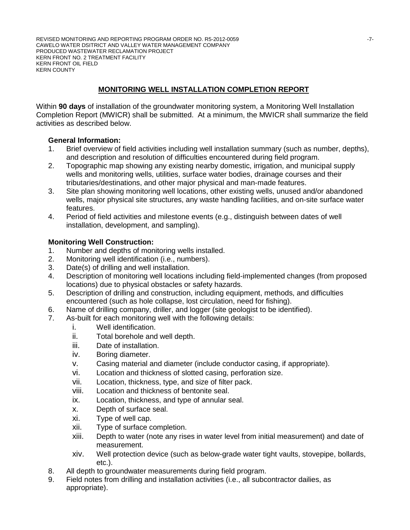REVISED MONITORING AND REPORTING PROGRAM ORDER NO. R5-2012-0059 CAWELO WATER DSITRICT AND VALLEY WATER MANAGEMENT COMPANY PRODUCED WASTEWATER RECLAMATION PROJECT KERN FRONT NO. 2 TREATMENT FACILITY KERN FRONT OIL FIELD KERN COUNTY

# **MONITORING WELL INSTALLATION COMPLETION REPORT**

Within **90 days** of installation of the groundwater monitoring system, a Monitoring Well Installation Completion Report (MWICR) shall be submitted. At a minimum, the MWICR shall summarize the field activities as described below.

#### **General Information:**

- 1. Brief overview of field activities including well installation summary (such as number, depths), and description and resolution of difficulties encountered during field program.
- 2. Topographic map showing any existing nearby domestic, irrigation, and municipal supply wells and monitoring wells, utilities, surface water bodies, drainage courses and their tributaries/destinations, and other major physical and man-made features.
- 3. Site plan showing monitoring well locations, other existing wells, unused and/or abandoned wells, major physical site structures, any waste handling facilities, and on-site surface water features.
- 4. Period of field activities and milestone events (e.g., distinguish between dates of well installation, development, and sampling).

#### **Monitoring Well Construction:**

- 1. Number and depths of monitoring wells installed.
- 2. Monitoring well identification (i.e., numbers).
- 3. Date(s) of drilling and well installation.
- 4. Description of monitoring well locations including field-implemented changes (from proposed locations) due to physical obstacles or safety hazards.
- 5. Description of drilling and construction, including equipment, methods, and difficulties encountered (such as hole collapse, lost circulation, need for fishing).
- 6. Name of drilling company, driller, and logger (site geologist to be identified).
- 7. As-built for each monitoring well with the following details:
	- i. Well identification.
	- ii. Total borehole and well depth.
	- iii. Date of installation.
	- iv. Boring diameter.
	- v. Casing material and diameter (include conductor casing, if appropriate).
	- vi. Location and thickness of slotted casing, perforation size.
	- vii. Location, thickness, type, and size of filter pack.
	- viii. Location and thickness of bentonite seal.
	- ix. Location, thickness, and type of annular seal.
	- x. Depth of surface seal.
	- xi. Type of well cap.
	- xii. Type of surface completion.
	- xiii. Depth to water (note any rises in water level from initial measurement) and date of measurement.
	- xiv. Well protection device (such as below-grade water tight vaults, stovepipe, bollards, etc.).
- 8. All depth to groundwater measurements during field program.
- 9. Field notes from drilling and installation activities (i.e., all subcontractor dailies, as appropriate).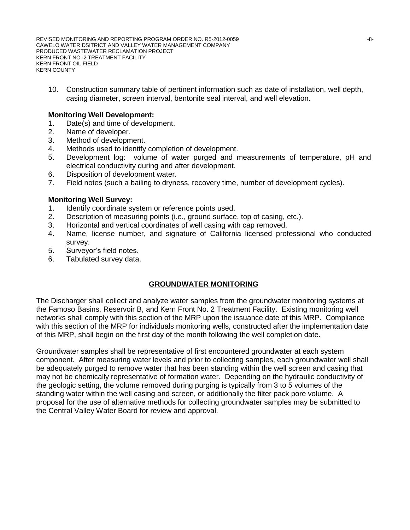REVISED MONITORING AND REPORTING PROGRAM ORDER NO. R5-2012-0059  $-8-$ CAWELO WATER DSITRICT AND VALLEY WATER MANAGEMENT COMPANY PRODUCED WASTEWATER RECLAMATION PROJECT KERN FRONT NO. 2 TREATMENT FACILITY KERN FRONT OIL FIELD KERN COUNTY

10. Construction summary table of pertinent information such as date of installation, well depth, casing diameter, screen interval, bentonite seal interval, and well elevation.

#### **Monitoring Well Development:**

- 1. Date(s) and time of development.
- 2. Name of developer.
- 3. Method of development.
- 4. Methods used to identify completion of development.
- 5. Development log: volume of water purged and measurements of temperature, pH and electrical conductivity during and after development.
- 6. Disposition of development water.
- 7. Field notes (such a bailing to dryness, recovery time, number of development cycles).

#### **Monitoring Well Survey:**

- 1. Identify coordinate system or reference points used.
- 2. Description of measuring points (i.e., ground surface, top of casing, etc.).
- 3. Horizontal and vertical coordinates of well casing with cap removed.
- 4. Name, license number, and signature of California licensed professional who conducted survey.
- 5. Surveyor's field notes.
- 6. Tabulated survey data.

# **GROUNDWATER MONITORING**

The Discharger shall collect and analyze water samples from the groundwater monitoring systems at the Famoso Basins, Reservoir B, and Kern Front No. 2 Treatment Facility. Existing monitoring well networks shall comply with this section of the MRP upon the issuance date of this MRP. Compliance with this section of the MRP for individuals monitoring wells, constructed after the implementation date of this MRP, shall begin on the first day of the month following the well completion date.

Groundwater samples shall be representative of first encountered groundwater at each system component. After measuring water levels and prior to collecting samples, each groundwater well shall be adequately purged to remove water that has been standing within the well screen and casing that may not be chemically representative of formation water. Depending on the hydraulic conductivity of the geologic setting, the volume removed during purging is typically from 3 to 5 volumes of the standing water within the well casing and screen, or additionally the filter pack pore volume. A proposal for the use of alternative methods for collecting groundwater samples may be submitted to the Central Valley Water Board for review and approval.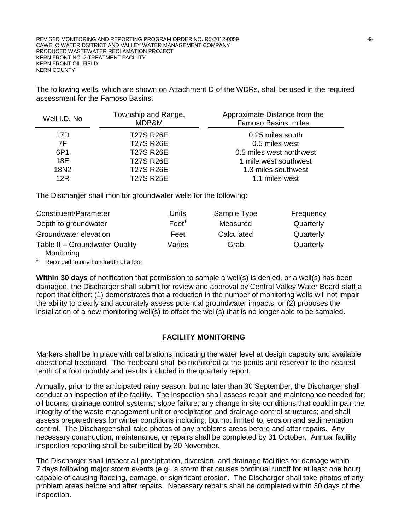The following wells, which are shown on Attachment D of the WDRs, shall be used in the required assessment for the Famoso Basins.

| Well I.D. No | Township and Range,<br>MDB&M | Approximate Distance from the<br>Famoso Basins, miles |
|--------------|------------------------------|-------------------------------------------------------|
| 17D          | <b>T27S R26E</b>             | 0.25 miles south                                      |
| 7F           | <b>T27S R26E</b>             | 0.5 miles west                                        |
| 6P1          | <b>T27S R26E</b>             | 0.5 miles west northwest                              |
| 18E          | <b>T27S R26E</b>             | 1 mile west southwest                                 |
| 18N2         | <b>T27S R26E</b>             | 1.3 miles southwest                                   |
| 12R          | <b>T27S R25E</b>             | 1.1 miles west                                        |

The Discharger shall monitor groundwater wells for the following:

| Constituent/Parameter                        | <u>Units</u>      | Sample Type | Frequency |
|----------------------------------------------|-------------------|-------------|-----------|
| Depth to groundwater                         | Feet <sup>1</sup> | Measured    | Quarterly |
| Groundwater elevation                        | Feet              | Calculated  | Quarterly |
| Table II - Groundwater Quality<br>Monitoring | Varies            | Grab        | Quarterly |

Recorded to one hundredth of a foot

**Within 30 days** of notification that permission to sample a well(s) is denied, or a well(s) has been damaged, the Discharger shall submit for review and approval by Central Valley Water Board staff a report that either: (1) demonstrates that a reduction in the number of monitoring wells will not impair the ability to clearly and accurately assess potential groundwater impacts, or (2) proposes the installation of a new monitoring well(s) to offset the well(s) that is no longer able to be sampled.

### **FACILITY MONITORING**

Markers shall be in place with calibrations indicating the water level at design capacity and available operational freeboard. The freeboard shall be monitored at the ponds and reservoir to the nearest tenth of a foot monthly and results included in the quarterly report.

Annually, prior to the anticipated rainy season, but no later than 30 September, the Discharger shall conduct an inspection of the facility. The inspection shall assess repair and maintenance needed for: oil booms; drainage control systems; slope failure; any change in site conditions that could impair the integrity of the waste management unit or precipitation and drainage control structures; and shall assess preparedness for winter conditions including, but not limited to, erosion and sedimentation control. The Discharger shall take photos of any problems areas before and after repairs. Any necessary construction, maintenance, or repairs shall be completed by 31 October. Annual facility inspection reporting shall be submitted by 30 November.

The Discharger shall inspect all precipitation, diversion, and drainage facilities for damage within 7 days following major storm events (e.g., a storm that causes continual runoff for at least one hour) capable of causing flooding, damage, or significant erosion. The Discharger shall take photos of any problem areas before and after repairs. Necessary repairs shall be completed within 30 days of the inspection.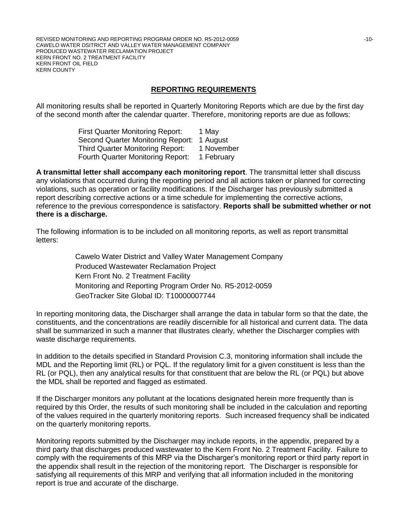REVISED MONITORING AND REPORTING PROGRAM ORDER NO. R5-2012-0059  $\blacksquare$ CAWELO WATER DSITRICT AND VALLEY WATER MANAGEMENT COMPANY PRODUCED WASTEWATER RECLAMATION PROJECT KERN FRONT NO. 2 TREATMENT FACILITY KERN FRONT OIL FIELD KERN COUNTY

### **REPORTING REQUIREMENTS**

All monitoring results shall be reported in Quarterly Monitoring Reports which are due by the first day of the second month after the calendar quarter. Therefore, monitoring reports are due as follows:

> First Quarter Monitoring Report: 1 May Second Quarter Monitoring Report: 1 August Third Quarter Monitoring Report: 1 November Fourth Quarter Monitoring Report: 1 February

**A transmittal letter shall accompany each monitoring report**. The transmittal letter shall discuss any violations that occurred during the reporting period and all actions taken or planned for correcting violations, such as operation or facility modifications. If the Discharger has previously submitted a report describing corrective actions or a time schedule for implementing the corrective actions, reference to the previous correspondence is satisfactory. **Reports shall be submitted whether or not there is a discharge.** 

The following information is to be included on all monitoring reports, as well as report transmittal letters:

> Cawelo Water District and Valley Water Management Company Produced Wastewater Reclamation Project Kern Front No. 2 Treatment Facility Monitoring and Reporting Program Order No. R5-2012-0059 GeoTracker Site Global ID: T10000007744

In reporting monitoring data, the Discharger shall arrange the data in tabular form so that the date, the constituents, and the concentrations are readily discernible for all historical and current data. The data shall be summarized in such a manner that illustrates clearly, whether the Discharger complies with waste discharge requirements.

In addition to the details specified in Standard Provision C.3, monitoring information shall include the MDL and the Reporting limit (RL) or PQL. If the regulatory limit for a given constituent is less than the RL (or PQL), then any analytical results for that constituent that are below the RL (or PQL) but above the MDL shall be reported and flagged as estimated.

If the Discharger monitors any pollutant at the locations designated herein more frequently than is required by this Order, the results of such monitoring shall be included in the calculation and reporting of the values required in the quarterly monitoring reports. Such increased frequency shall be indicated on the quarterly monitoring reports.

Monitoring reports submitted by the Discharger may include reports, in the appendix, prepared by a third party that discharges produced wastewater to the Kern Front No. 2 Treatment Facility. Failure to comply with the requirements of this MRP via the Discharger's monitoring report or third party report in the appendix shall result in the rejection of the monitoring report. The Discharger is responsible for satisfying all requirements of this MRP and verifying that all information included in the monitoring report is true and accurate of the discharge.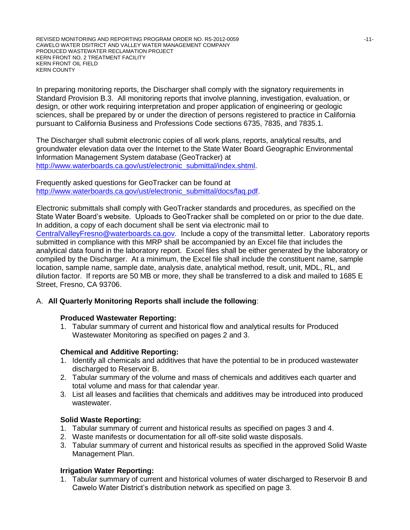In preparing monitoring reports, the Discharger shall comply with the signatory requirements in Standard Provision B.3. All monitoring reports that involve planning, investigation, evaluation, or design, or other work requiring interpretation and proper application of engineering or geologic sciences, shall be prepared by or under the direction of persons registered to practice in California pursuant to California Business and Professions Code sections 6735, 7835, and 7835.1.

The Discharger shall submit electronic copies of all work plans, reports, analytical results, and groundwater elevation data over the Internet to the State Water Board Geographic Environmental Information Management System database (GeoTracker) at [http://www.waterboards.ca.gov/ust/electronic\\_submittal/index.shtml.](http://www.waterboards.ca.gov/ust/electronic_submittal/index.shtml)

Frequently asked questions for GeoTracker can be found at [http://www.waterboards.ca.gov/ust/electronic\\_submittal/docs/faq.pdf.](http://www.waterboards.ca.gov/ust/electronic_submittal/docs/faq.pdf)

Electronic submittals shall comply with GeoTracker standards and procedures, as specified on the State Water Board's website. Uploads to GeoTracker shall be completed on or prior to the due date. In addition, a copy of each document shall be sent via electronic mail to [CentralValleyFresno@waterboards.ca.gov.](mailto:CentralValleyFresno@waterboards.ca.gov) Include a copy of the transmittal letter. Laboratory reports submitted in compliance with this MRP shall be accompanied by an Excel file that includes the analytical data found in the laboratory report. Excel files shall be either generated by the laboratory or compiled by the Discharger. At a minimum, the Excel file shall include the constituent name, sample location, sample name, sample date, analysis date, analytical method, result, unit, MDL, RL, and dilution factor. If reports are 50 MB or more, they shall be transferred to a disk and mailed to 1685 E Street, Fresno, CA 93706.

### A. **All Quarterly Monitoring Reports shall include the following**:

### **Produced Wastewater Reporting:**

1. Tabular summary of current and historical flow and analytical results for Produced Wastewater Monitoring as specified on pages 2 and 3.

### **Chemical and Additive Reporting:**

- 1. Identify all chemicals and additives that have the potential to be in produced wastewater discharged to Reservoir B.
- 2. Tabular summary of the volume and mass of chemicals and additives each quarter and total volume and mass for that calendar year.
- 3. List all leases and facilities that chemicals and additives may be introduced into produced wastewater.

### **Solid Waste Reporting:**

- 1. Tabular summary of current and historical results as specified on pages 3 and 4.
- 2. Waste manifests or documentation for all off-site solid waste disposals.
- 3. Tabular summary of current and historical results as specified in the approved Solid Waste Management Plan.

### **Irrigation Water Reporting:**

1. Tabular summary of current and historical volumes of water discharged to Reservoir B and Cawelo Water District's distribution network as specified on page 3.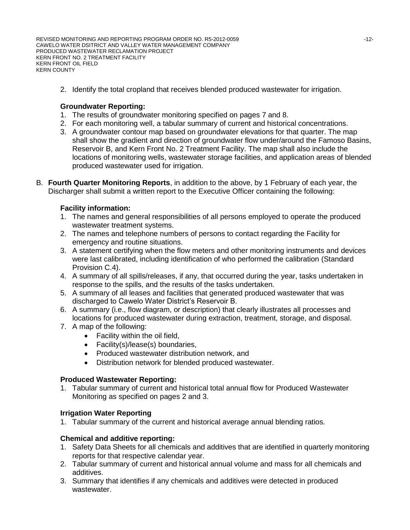REVISED MONITORING AND REPORTING PROGRAM ORDER NO. R5-2012-0059  $\blacksquare$ CAWELO WATER DSITRICT AND VALLEY WATER MANAGEMENT COMPANY PRODUCED WASTEWATER RECLAMATION PROJECT KERN FRONT NO. 2 TREATMENT FACILITY KERN FRONT OIL FIELD KERN COUNTY

2. Identify the total cropland that receives blended produced wastewater for irrigation.

### **Groundwater Reporting:**

- 1. The results of groundwater monitoring specified on pages 7 and 8.
- 2. For each monitoring well, a tabular summary of current and historical concentrations.
- 3. A groundwater contour map based on groundwater elevations for that quarter. The map shall show the gradient and direction of groundwater flow under/around the Famoso Basins, Reservoir B, and Kern Front No. 2 Treatment Facility. The map shall also include the locations of monitoring wells, wastewater storage facilities, and application areas of blended produced wastewater used for irrigation.
- B. **Fourth Quarter Monitoring Reports**, in addition to the above, by 1 February of each year, the Discharger shall submit a written report to the Executive Officer containing the following:

#### **Facility information:**

- 1. The names and general responsibilities of all persons employed to operate the produced wastewater treatment systems.
- 2. The names and telephone numbers of persons to contact regarding the Facility for emergency and routine situations.
- 3. A statement certifying when the flow meters and other monitoring instruments and devices were last calibrated, including identification of who performed the calibration (Standard Provision C.4).
- 4. A summary of all spills/releases, if any, that occurred during the year, tasks undertaken in response to the spills, and the results of the tasks undertaken.
- 5. A summary of all leases and facilities that generated produced wastewater that was discharged to Cawelo Water District's Reservoir B.
- 6. A summary (i.e., flow diagram, or description) that clearly illustrates all processes and locations for produced wastewater during extraction, treatment, storage, and disposal.
- 7. A map of the following:
	- Facility within the oil field,
	- Facility(s)/lease(s) boundaries,
	- Produced wastewater distribution network, and
	- Distribution network for blended produced wastewater.

#### **Produced Wastewater Reporting:**

1. Tabular summary of current and historical total annual flow for Produced Wastewater Monitoring as specified on pages 2 and 3.

#### **Irrigation Water Reporting**

1. Tabular summary of the current and historical average annual blending ratios.

#### **Chemical and additive reporting:**

- 1. Safety Data Sheets for all chemicals and additives that are identified in quarterly monitoring reports for that respective calendar year.
- 2. Tabular summary of current and historical annual volume and mass for all chemicals and additives.
- 3. Summary that identifies if any chemicals and additives were detected in produced wastewater.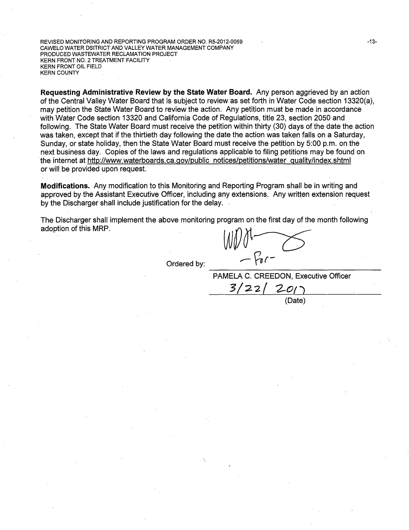REVISED MONITORING AND REPORTING PROGRAM ORDER NO. R5-2012-0059 CAWELO WATER DSITRICT AND VALLEY WATER MANAGEMENT COMPANY PRODUCED WASTEWATER RECLAMATION PROJECT KERN FRONT NO. 2 TREATMENT FACILITY KERN FRONT OIL FIELD KERN COUNTY

**Requesting Administrative Review by the State Water Board.** Any person aggrieved by an action of the Central Valley Water Board that is subject to review as set forth in Water Code section 13320(a), may petition the State Water Board to review the action. Any petition must be made in accordance with Water Code section 13320 and California Code of Regulations, title 23, section 2050 and following. The State Water Board must receive the petition within thirty (30) days of the date the action was taken, except that if the thirtieth day following the date the action was taken falls on a Saturday, Sunday, or state holiday, then the State Water Board must receive the petition by 5:00 p.m. on the next business day. Copies of the laws and regulations applicable to filing petitions may be found on the internet at http://www.waterboards.ca.gov/public notices/petitions/water quality/index.shtml or will be provided upon request.

**Modifications.** Any modification to this Monitoring and Reporting Program shall be in writing and approved by the Assistant Executive Officer, including any extensions. Any written extension request by the Discharger shall include justification for the delay.

The Discharger shall implement the above monitoring program on the first day of the month following adoption of this MRP.

 $3/22/201$ 

Ordered by:

PAMELA C. CREEDON, Executive Officer

(Date)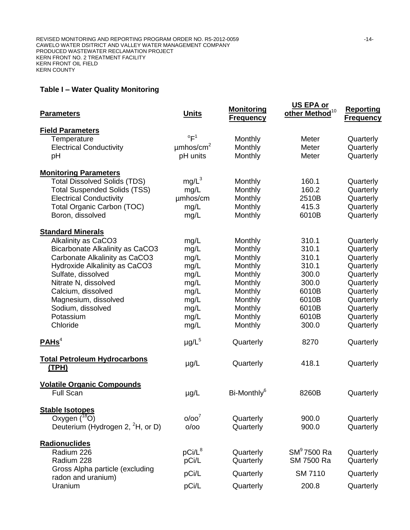# **Table I – Water Quality Monitoring**

| <b>Parameters</b>                                                                                                                                                                                                                                                                                     | <b>Units</b>                                                                         | <b>Monitoring</b><br><b>Frequency</b>                                                                                 | US EPA or<br>other Method <sup>10</sup>                                                         | <b>Reporting</b><br><b>Frequency</b>                                                                                                        |
|-------------------------------------------------------------------------------------------------------------------------------------------------------------------------------------------------------------------------------------------------------------------------------------------------------|--------------------------------------------------------------------------------------|-----------------------------------------------------------------------------------------------------------------------|-------------------------------------------------------------------------------------------------|---------------------------------------------------------------------------------------------------------------------------------------------|
| <b>Field Parameters</b><br>Temperature<br><b>Electrical Conductivity</b><br>рH                                                                                                                                                                                                                        | $\mathrm{P}^1$<br>$\mu$ mhos/cm <sup>2</sup><br>pH units                             | Monthly<br>Monthly<br>Monthly                                                                                         | Meter<br>Meter<br>Meter                                                                         | Quarterly<br>Quarterly<br>Quarterly                                                                                                         |
| <b>Monitoring Parameters</b><br><b>Total Dissolved Solids (TDS)</b><br><b>Total Suspended Solids (TSS)</b><br><b>Electrical Conductivity</b><br><b>Total Organic Carbon (TOC)</b><br>Boron, dissolved                                                                                                 | $mg/L^3$<br>mg/L<br>umhos/cm<br>mg/L<br>mg/L                                         | Monthly<br>Monthly<br>Monthly<br>Monthly<br>Monthly                                                                   | 160.1<br>160.2<br>2510B<br>415.3<br>6010B                                                       | Quarterly<br>Quarterly<br>Quarterly<br>Quarterly<br>Quarterly                                                                               |
| <b>Standard Minerals</b><br>Alkalinity as CaCO3<br><b>Bicarbonate Alkalinity as CaCO3</b><br>Carbonate Alkalinity as CaCO3<br>Hydroxide Alkalinity as CaCO3<br>Sulfate, dissolved<br>Nitrate N, dissolved<br>Calcium, dissolved<br>Magnesium, dissolved<br>Sodium, dissolved<br>Potassium<br>Chloride | mg/L<br>mg/L<br>mg/L<br>mg/L<br>mg/L<br>mg/L<br>mg/L<br>mg/L<br>mg/L<br>mg/L<br>mg/L | Monthly<br>Monthly<br>Monthly<br>Monthly<br>Monthly<br>Monthly<br>Monthly<br>Monthly<br>Monthly<br>Monthly<br>Monthly | 310.1<br>310.1<br>310.1<br>310.1<br>300.0<br>300.0<br>6010B<br>6010B<br>6010B<br>6010B<br>300.0 | Quarterly<br>Quarterly<br>Quarterly<br>Quarterly<br>Quarterly<br>Quarterly<br>Quarterly<br>Quarterly<br>Quarterly<br>Quarterly<br>Quarterly |
| PAHS <sup>4</sup>                                                                                                                                                                                                                                                                                     | $\mu$ g/L <sup>5</sup>                                                               | Quarterly                                                                                                             | 8270                                                                                            | Quarterly                                                                                                                                   |
| <b>Total Petroleum Hydrocarbons</b><br>(TPH)                                                                                                                                                                                                                                                          | $\mu$ g/L                                                                            | Quarterly                                                                                                             | 418.1                                                                                           | Quarterly                                                                                                                                   |
| <b>Volatile Organic Compounds</b><br><b>Full Scan</b>                                                                                                                                                                                                                                                 | $\mu$ g/L                                                                            | Bi-Monthly <sup>6</sup>                                                                                               | 8260B                                                                                           | Quarterly                                                                                                                                   |
| <b>Stable Isotopes</b><br>Oxygen $(^{18}O)$<br>Deuterium (Hydrogen 2, <sup>2</sup> H, or D)                                                                                                                                                                                                           | O/OO <sup>7</sup><br>O/OO                                                            | Quarterly<br>Quarterly                                                                                                | 900.0<br>900.0                                                                                  | Quarterly<br>Quarterly                                                                                                                      |
| Radionuclides<br>Radium 226<br>Radium 228<br>Gross Alpha particle (excluding<br>radon and uranium)<br>Uranium                                                                                                                                                                                         | $pCi/L^8$<br>pCi/L<br>pCi/L<br>pCi/L                                                 | Quarterly<br>Quarterly<br>Quarterly<br>Quarterly                                                                      | $SM9$ 7500 Ra<br>SM 7500 Ra<br><b>SM 7110</b><br>200.8                                          | Quarterly<br>Quarterly<br>Quarterly<br>Quarterly                                                                                            |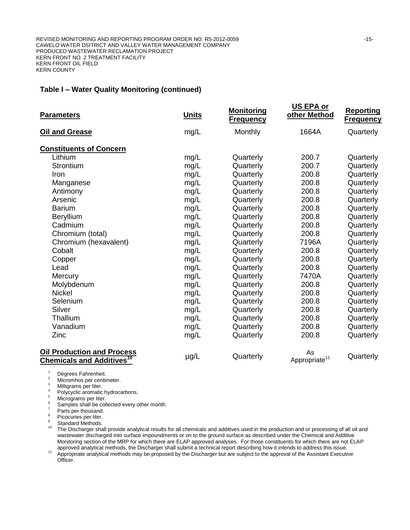#### **Table I – Water Quality Monitoring (continued)**

| <b>Parameters</b>                                                                | <b>Units</b> | <b>Monitoring</b><br><b>Frequency</b> | US EPA or<br>other Method       | <b>Reporting</b><br><b>Frequency</b> |
|----------------------------------------------------------------------------------|--------------|---------------------------------------|---------------------------------|--------------------------------------|
| Oil and Grease                                                                   | mg/L         | Monthly                               | 1664A                           | Quarterly                            |
| <b>Constituents of Concern</b>                                                   |              |                                       |                                 |                                      |
| Lithium                                                                          | mg/L         | Quarterly                             | 200.7                           | Quarterly                            |
| Strontium                                                                        | mg/L         | Quarterly                             | 200.7                           | Quarterly                            |
| Iron                                                                             | mg/L         | Quarterly                             | 200.8                           | Quarterly                            |
| Manganese                                                                        | mg/L         | Quarterly                             | 200.8                           | Quarterly                            |
| Antimony                                                                         | mg/L         | Quarterly                             | 200.8                           | Quarterly                            |
| Arsenic                                                                          | mg/L         | Quarterly                             | 200.8                           | Quarterly                            |
| <b>Barium</b>                                                                    | mg/L         | Quarterly                             | 200.8                           | Quarterly                            |
| Beryllium                                                                        | mg/L         | Quarterly                             | 200.8                           | Quarterly                            |
| Cadmium                                                                          | mg/L         | Quarterly                             | 200.8                           | Quarterly                            |
| Chromium (total)                                                                 | mg/L         | Quarterly                             | 200.8                           | Quarterly                            |
| Chromium (hexavalent)                                                            | mg/L         | Quarterly                             | 7196A                           | Quarterly                            |
| Cobalt                                                                           | mg/L         | Quarterly                             | 200.8                           | Quarterly                            |
| Copper                                                                           | mg/L         | Quarterly                             | 200.8                           | Quarterly                            |
| Lead                                                                             | mg/L         | Quarterly                             | 200.8                           | Quarterly                            |
| Mercury                                                                          | mg/L         | Quarterly                             | 7470A                           | Quarterly                            |
| Molybdenum                                                                       | mg/L         | Quarterly                             | 200.8                           | Quarterly                            |
| <b>Nickel</b>                                                                    | mg/L         | Quarterly                             | 200.8                           | Quarterly                            |
| Selenium                                                                         | mg/L         | Quarterly                             | 200.8                           | Quarterly                            |
| Silver                                                                           | mg/L         | Quarterly                             | 200.8                           | Quarterly                            |
| Thallium                                                                         | mg/L         | Quarterly                             | 200.8                           | Quarterly                            |
| Vanadium                                                                         | mg/L         | Quarterly                             | 200.8                           | Quarterly                            |
| Zinc                                                                             | mg/L         | Quarterly                             | 200.8                           | Quarterly                            |
| <b>Oil Production and Process</b><br><b>Chemicals and Additives<sup>10</sup></b> | $\mu$ g/L    | Quarterly                             | As<br>Appropriate <sup>11</sup> | Quarterly                            |

 $\frac{1}{2}$  Degrees Fahrenheit.

 $\frac{2}{3}$  Micromhos per centimeter.

 $3$  Milligrams per liter.

<sup>4</sup> Polycyclic aromatic hydrocarbons.

 $\frac{5}{6}$  Micrograms per liter.

 $\frac{6}{7}$  Samples shall be collected every other month.

 $\frac{7}{8}$  Parts per thousand.

 $8^8$  Picocuries per liter.

Standard Methods.

<sup>10</sup> The Discharger shall provide analytical results for all chemicals and additives used in the production and or processing of all oil and wastewater discharged into surface impoundments or on to the ground surface as described under the Chemical and Additive Monitoring section of the MRP for which there are ELAP approved analyses. For those constituents for which there are not ELAP approved analytical methods, the Discharger shall submit a technical report describing how it intends to address this issue.

<sup>11</sup> Appropriate analytical methods may be proposed by the Discharger but are subject to the approval of the Assistant Executive Officer.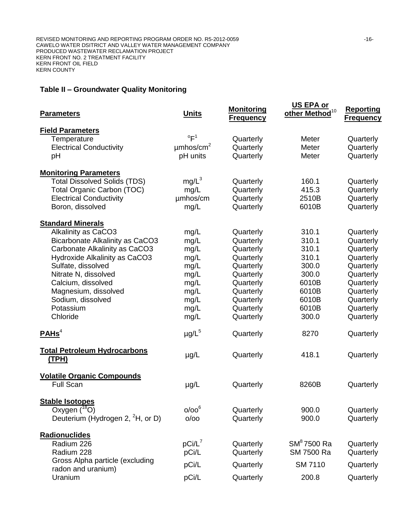# **Table II – Groundwater Quality Monitoring**

| <b>Parameters</b>                                     | <b>Units</b>               | <b>Monitoring</b><br><b>Frequency</b> | US EPA or<br>other Method <sup>10</sup> | <b>Reporting</b><br><b>Frequency</b> |
|-------------------------------------------------------|----------------------------|---------------------------------------|-----------------------------------------|--------------------------------------|
| <b>Field Parameters</b>                               |                            |                                       |                                         |                                      |
| Temperature                                           | $\mathrm{P}^1$             | Quarterly                             | Meter                                   | Quarterly                            |
| <b>Electrical Conductivity</b>                        | $\mu$ mhos/cm <sup>2</sup> | Quarterly                             | Meter                                   | Quarterly                            |
| pH                                                    | pH units                   | Quarterly                             | Meter                                   | Quarterly                            |
| <b>Monitoring Parameters</b>                          |                            |                                       |                                         |                                      |
| <b>Total Dissolved Solids (TDS)</b>                   | $mg/L^3$                   | Quarterly                             | 160.1                                   | Quarterly                            |
| <b>Total Organic Carbon (TOC)</b>                     | mg/L                       | Quarterly                             | 415.3                                   | Quarterly                            |
| <b>Electrical Conductivity</b>                        | umhos/cm                   | Quarterly                             | 2510B                                   | Quarterly                            |
| Boron, dissolved                                      | mg/L                       | Quarterly                             | 6010B                                   | Quarterly                            |
| <b>Standard Minerals</b>                              |                            |                                       |                                         |                                      |
| Alkalinity as CaCO3                                   | mg/L                       | Quarterly                             | 310.1                                   | Quarterly                            |
| Bicarbonate Alkalinity as CaCO3                       | mg/L                       | Quarterly                             | 310.1                                   | Quarterly                            |
| Carbonate Alkalinity as CaCO3                         | mg/L                       | Quarterly                             | 310.1                                   | Quarterly                            |
| Hydroxide Alkalinity as CaCO3                         | mg/L                       | Quarterly                             | 310.1                                   | Quarterly                            |
| Sulfate, dissolved                                    | mg/L                       | Quarterly                             | 300.0                                   | Quarterly                            |
| Nitrate N, dissolved                                  | mg/L                       | Quarterly                             | 300.0                                   | Quarterly                            |
| Calcium, dissolved                                    | mg/L                       | Quarterly                             | 6010B                                   | Quarterly                            |
| Magnesium, dissolved                                  | mg/L                       | Quarterly                             | 6010B                                   | Quarterly                            |
| Sodium, dissolved                                     | mg/L                       | Quarterly                             | 6010B                                   | Quarterly                            |
| Potassium                                             | mg/L                       | Quarterly                             | 6010B                                   | Quarterly                            |
| Chloride                                              | mg/L                       | Quarterly                             | 300.0                                   | Quarterly                            |
| PAHS <sup>4</sup>                                     | $\mu$ g/L $^5$             | Quarterly                             | 8270                                    | Quarterly                            |
| <b>Total Petroleum Hydrocarbons</b><br><u>(TPH)</u>   | $\mu$ g/L                  | Quarterly                             | 418.1                                   | Quarterly                            |
| <b>Volatile Organic Compounds</b><br><b>Full Scan</b> | $\mu$ g/L                  | Quarterly                             | 8260B                                   | Quarterly                            |
| <b>Stable Isotopes</b>                                |                            |                                       |                                         |                                      |
| Oxygen $(^{18}O)$                                     | $0/00^6$                   | Quarterly                             | 900.0                                   | Quarterly                            |
| Deuterium (Hydrogen 2, <sup>2</sup> H, or D)          | O/OO                       | Quarterly                             | 900.0                                   | Quarterly                            |
| Radionuclides                                         |                            |                                       |                                         |                                      |
| Radium 226                                            | $pCi/L^7$                  | Quarterly                             | $SM^8$ 7500 Ra                          | Quarterly                            |
| Radium 228                                            | pCi/L                      | Quarterly                             | SM 7500 Ra                              | Quarterly                            |
| Gross Alpha particle (excluding<br>radon and uranium) | pCi/L                      | Quarterly                             | SM 7110                                 | Quarterly                            |
| Uranium                                               | pCi/L                      | Quarterly                             | 200.8                                   | Quarterly                            |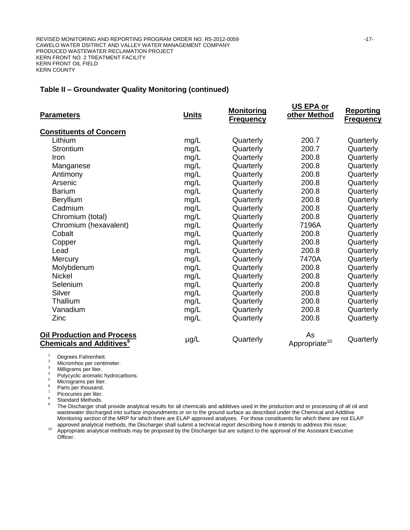#### **Table II – Groundwater Quality Monitoring (continued)**

| <b>Parameters</b>                                                                | <b>Units</b> | <b>Monitoring</b><br><b>Frequency</b> | US EPA or<br>other Method       | <b>Reporting</b><br><b>Frequency</b> |
|----------------------------------------------------------------------------------|--------------|---------------------------------------|---------------------------------|--------------------------------------|
| <b>Constituents of Concern</b>                                                   |              |                                       |                                 |                                      |
| Lithium                                                                          | mg/L         | Quarterly                             | 200.7                           | Quarterly                            |
| Strontium                                                                        | mg/L         | Quarterly                             | 200.7                           | Quarterly                            |
| Iron                                                                             | mg/L         | Quarterly                             | 200.8                           | Quarterly                            |
| Manganese                                                                        | mg/L         | Quarterly                             | 200.8                           | Quarterly                            |
| Antimony                                                                         | mg/L         | Quarterly                             | 200.8                           | Quarterly                            |
| Arsenic                                                                          | mg/L         | Quarterly                             | 200.8                           | Quarterly                            |
| <b>Barium</b>                                                                    | mg/L         | Quarterly                             | 200.8                           | Quarterly                            |
| Beryllium                                                                        | mg/L         | Quarterly                             | 200.8                           | Quarterly                            |
| Cadmium                                                                          | mg/L         | Quarterly                             | 200.8                           | Quarterly                            |
| Chromium (total)                                                                 | mg/L         | Quarterly                             | 200.8                           | Quarterly                            |
| Chromium (hexavalent)                                                            | mg/L         | Quarterly                             | 7196A                           | Quarterly                            |
| Cobalt                                                                           | mg/L         | Quarterly                             | 200.8                           | Quarterly                            |
| Copper                                                                           | mg/L         | Quarterly                             | 200.8                           | Quarterly                            |
| Lead                                                                             | mg/L         | Quarterly                             | 200.8                           | Quarterly                            |
| Mercury                                                                          | mg/L         | Quarterly                             | 7470A                           | Quarterly                            |
| Molybdenum                                                                       | mg/L         | Quarterly                             | 200.8                           | Quarterly                            |
| <b>Nickel</b>                                                                    | mg/L         | Quarterly                             | 200.8                           | Quarterly                            |
| Selenium                                                                         | mg/L         | Quarterly                             | 200.8                           | Quarterly                            |
| Silver                                                                           | mg/L         | Quarterly                             | 200.8                           | Quarterly                            |
| Thallium                                                                         | mg/L         | Quarterly                             | 200.8                           | Quarterly                            |
| Vanadium                                                                         | mg/L         | Quarterly                             | 200.8                           | Quarterly                            |
| Zinc                                                                             | mg/L         | Quarterly                             | 200.8                           | Quarterly                            |
| <b>Oil Production and Process</b><br><b>Chemicals and Additives</b> <sup>9</sup> | $\mu$ g/L    | Quarterly                             | As<br>Appropriate <sup>10</sup> | Quarterly                            |

 $\frac{1}{2}$  Degrees Fahrenheit.

 $\frac{2}{3}$  Micromhos per centimeter.

 $\frac{3}{4}$  Milligrams per liter.

<sup>4</sup> Polycyclic aromatic hydrocarbons.

 $5$  Micrograms per liter.

 $\frac{6}{7}$  Parts per thousand.

 $^7$  Picocuries per liter.

Standard Methods.

9 The Discharger shall provide analytical results for all chemicals and additives used in the production and or processing of all oil and wastewater discharged into surface impoundments or on to the ground surface as described under the Chemical and Additive Monitoring section of the MRP for which there are ELAP approved analyses. For those constituents for which there are not ELAP approved analytical methods, the Discharger shall submit a technical report describing how it intends to address this issue.

<sup>10</sup> Appropriate analytical methods may be proposed by the Discharger but are subject to the approval of the Assistant Executive Officer.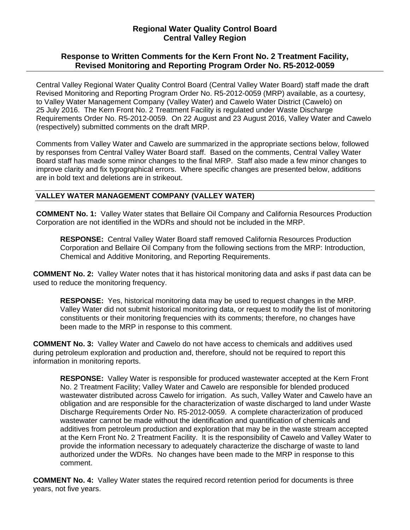# **Regional Water Quality Control Board Central Valley Region**

# **Response to Written Comments for the Kern Front No. 2 Treatment Facility, Revised Monitoring and Reporting Program Order No. R5-2012-0059**

Central Valley Regional Water Quality Control Board (Central Valley Water Board) staff made the draft Revised Monitoring and Reporting Program Order No. R5-2012-0059 (MRP) available, as a courtesy, to Valley Water Management Company (Valley Water) and Cawelo Water District (Cawelo) on 25 July 2016. The Kern Front No. 2 Treatment Facility is regulated under Waste Discharge Requirements Order No. R5-2012-0059. On 22 August and 23 August 2016, Valley Water and Cawelo (respectively) submitted comments on the draft MRP.

Comments from Valley Water and Cawelo are summarized in the appropriate sections below, followed by responses from Central Valley Water Board staff. Based on the comments, Central Valley Water Board staff has made some minor changes to the final MRP. Staff also made a few minor changes to improve clarity and fix typographical errors. Where specific changes are presented below, additions are in bold text and deletions are in strikeout.

## **VALLEY WATER MANAGEMENT COMPANY (VALLEY WATER)**

**COMMENT No. 1:** Valley Water states that Bellaire Oil Company and California Resources Production Corporation are not identified in the WDRs and should not be included in the MRP.

**RESPONSE:** Central Valley Water Board staff removed California Resources Production Corporation and Bellaire Oil Company from the following sections from the MRP: Introduction, Chemical and Additive Monitoring, and Reporting Requirements.

**COMMENT No. 2:** Valley Water notes that it has historical monitoring data and asks if past data can be used to reduce the monitoring frequency.

**RESPONSE:** Yes, historical monitoring data may be used to request changes in the MRP. Valley Water did not submit historical monitoring data, or request to modify the list of monitoring constituents or their monitoring frequencies with its comments; therefore, no changes have been made to the MRP in response to this comment.

**COMMENT No. 3:** Valley Water and Cawelo do not have access to chemicals and additives used during petroleum exploration and production and, therefore, should not be required to report this information in monitoring reports.

**RESPONSE:** Valley Water is responsible for produced wastewater accepted at the Kern Front No. 2 Treatment Facility; Valley Water and Cawelo are responsible for blended produced wastewater distributed across Cawelo for irrigation. As such, Valley Water and Cawelo have an obligation and are responsible for the characterization of waste discharged to land under Waste Discharge Requirements Order No. R5-2012-0059. A complete characterization of produced wastewater cannot be made without the identification and quantification of chemicals and additives from petroleum production and exploration that may be in the waste stream accepted at the Kern Front No. 2 Treatment Facility. It is the responsibility of Cawelo and Valley Water to provide the information necessary to adequately characterize the discharge of waste to land authorized under the WDRs. No changes have been made to the MRP in response to this comment.

**COMMENT No. 4:** Valley Water states the required record retention period for documents is three years, not five years.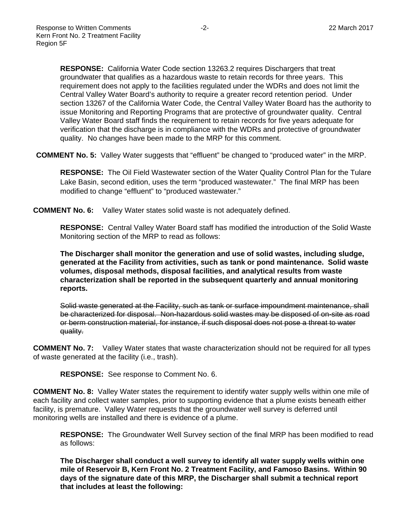**RESPONSE:** California Water Code section 13263.2 requires Dischargers that treat groundwater that qualifies as a hazardous waste to retain records for three years. This requirement does not apply to the facilities regulated under the WDRs and does not limit the Central Valley Water Board's authority to require a greater record retention period. Under section 13267 of the California Water Code, the Central Valley Water Board has the authority to issue Monitoring and Reporting Programs that are protective of groundwater quality. Central Valley Water Board staff finds the requirement to retain records for five years adequate for verification that the discharge is in compliance with the WDRs and protective of groundwater quality. No changes have been made to the MRP for this comment.

**COMMENT No. 5:** Valley Water suggests that "effluent" be changed to "produced water" in the MRP.

**RESPONSE:** The Oil Field Wastewater section of the Water Quality Control Plan for the Tulare Lake Basin, second edition, uses the term "produced wastewater." The final MRP has been modified to change "effluent" to "produced wastewater."

**COMMENT No. 6:** Valley Water states solid waste is not adequately defined.

**RESPONSE:** Central Valley Water Board staff has modified the introduction of the Solid Waste Monitoring section of the MRP to read as follows:

**The Discharger shall monitor the generation and use of solid wastes, including sludge, generated at the Facility from activities, such as tank or pond maintenance. Solid waste volumes, disposal methods, disposal facilities, and analytical results from waste characterization shall be reported in the subsequent quarterly and annual monitoring reports.** 

Solid waste generated at the Facility, such as tank or surface impoundment maintenance, shall be characterized for disposal. Non-hazardous solid wastes may be disposed of on-site as road or berm construction material, for instance, if such disposal does not pose a threat to water quality.

**COMMENT No. 7:** Valley Water states that waste characterization should not be required for all types of waste generated at the facility (i.e., trash).

**RESPONSE:** See response to Comment No. 6.

**COMMENT No. 8:** Valley Water states the requirement to identify water supply wells within one mile of each facility and collect water samples, prior to supporting evidence that a plume exists beneath either facility, is premature. Valley Water requests that the groundwater well survey is deferred until monitoring wells are installed and there is evidence of a plume.

**RESPONSE:** The Groundwater Well Survey section of the final MRP has been modified to read as follows:

**The Discharger shall conduct a well survey to identify all water supply wells within one mile of Reservoir B, Kern Front No. 2 Treatment Facility, and Famoso Basins. Within 90 days of the signature date of this MRP, the Discharger shall submit a technical report that includes at least the following:**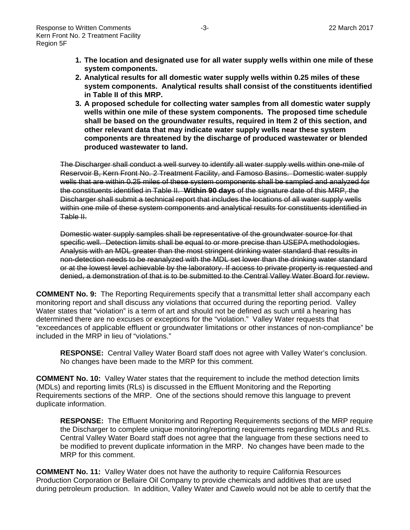- **1. The location and designated use for all water supply wells within one mile of these system components.**
- **2. Analytical results for all domestic water supply wells within 0.25 miles of these system components. Analytical results shall consist of the constituents identified in Table II of this MRP.**
- **3. A proposed schedule for collecting water samples from all domestic water supply wells within one mile of these system components. The proposed time schedule shall be based on the groundwater results, required in Item 2 of this section, and other relevant data that may indicate water supply wells near these system components are threatened by the discharge of produced wastewater or blended produced wastewater to land.**

The Discharger shall conduct a well survey to identify all water supply wells within one-mile of Reservoir B, Kern Front No. 2 Treatment Facility, and Famoso Basins. Domestic water supply wells that are within 0.25 miles of these system components shall be sampled and analyzed for the constituents identified in Table II. **Within 90 days** of the signature date of this MRP, the Discharger shall submit a technical report that includes the locations of all water supply wells within one mile of these system components and analytical results for constituents identified in Table II.

Domestic water supply samples shall be representative of the groundwater source for that specific well. Detection limits shall be equal to or more precise than USEPA methodologies. Analysis with an MDL greater than the most stringent drinking water standard that results in non-detection needs to be reanalyzed with the MDL set lower than the drinking water standard or at the lowest level achievable by the laboratory. If access to private property is requested and denied, a demonstration of that is to be submitted to the Central Valley Water Board for review.

**COMMENT No. 9:** The Reporting Requirements specify that a transmittal letter shall accompany each monitoring report and shall discuss any violations that occurred during the reporting period. Valley Water states that "violation" is a term of art and should not be defined as such until a hearing has determined there are no excuses or exceptions for the "violation." Valley Water requests that "exceedances of applicable effluent or groundwater limitations or other instances of non-compliance" be included in the MRP in lieu of "violations."

**RESPONSE:** Central Valley Water Board staff does not agree with Valley Water's conclusion. No changes have been made to the MRP for this comment.

**COMMENT No. 10:** Valley Water states that the requirement to include the method detection limits (MDLs) and reporting limits (RLs) is discussed in the Effluent Monitoring and the Reporting Requirements sections of the MRP. One of the sections should remove this language to prevent duplicate information.

**RESPONSE:** The Effluent Monitoring and Reporting Requirements sections of the MRP require the Discharger to complete unique monitoring/reporting requirements regarding MDLs and RLs. Central Valley Water Board staff does not agree that the language from these sections need to be modified to prevent duplicate information in the MRP. No changes have been made to the MRP for this comment.

**COMMENT No. 11:** Valley Water does not have the authority to require California Resources Production Corporation or Bellaire Oil Company to provide chemicals and additives that are used during petroleum production. In addition, Valley Water and Cawelo would not be able to certify that the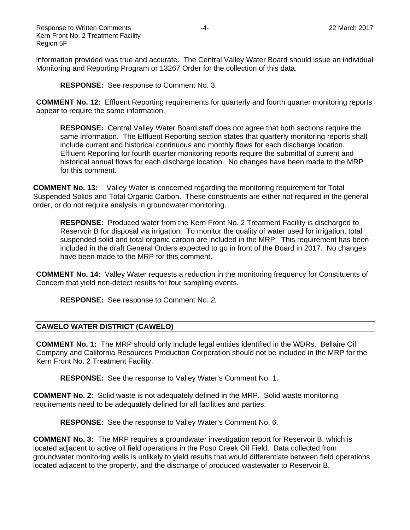information provided was true and accurate. The Central Valley Water Board should issue an individual Monitoring and Reporting Program or 13267 Order for the collection of this data.

**RESPONSE:** See response to Comment No. 3.

**COMMENT No. 12:** Effluent Reporting requirements for quarterly and fourth quarter monitoring reports appear to require the same information.

**RESPONSE:** Central Valley Water Board staff does not agree that both sections require the same information. The Effluent Reporting section states that quarterly monitoring reports shall include current and historical continuous and monthly flows for each discharge location. Effluent Reporting for fourth quarter monitoring reports require the submittal of current and historical annual flows for each discharge location. No changes have been made to the MRP for this comment.

**COMMENT No. 13:** Valley Water is concerned regarding the monitoring requirement for Total Suspended Solids and Total Organic Carbon. These constituents are either not required in the general order, or do not require analysis in groundwater monitoring.

**RESPONSE:** Produced water from the Kern Front No. 2 Treatment Facility is discharged to Reservoir B for disposal via irrigation. To monitor the quality of water used for irrigation, total suspended solid and total organic carbon are included in the MRP. This requirement has been included in the draft General Orders expected to go in front of the Board in 2017. No changes have been made to the MRP for this comment.

**COMMENT No. 14:** Valley Water requests a reduction in the monitoring frequency for Constituents of Concern that yield non-detect results for four sampling events.

**RESPONSE:** See response to Comment No*. 2.*

### **CAWELO WATER DISTRICT (CAWELO)**

**COMMENT No. 1:** The MRP should only include legal entities identified in the WDRs. Bellaire Oil Company and California Resources Production Corporation should not be included in the MRP for the Kern Front No. 2 Treatment Facility.

**RESPONSE:** See the response to Valley Water's Comment No. 1.

**COMMENT No. 2:** Solid waste is not adequately defined in the MRP. Solid waste monitoring requirements need to be adequately defined for all facilities and parties.

**RESPONSE:** See the response to Valley Water's Comment No. 6.

**COMMENT No. 3:** The MRP requires a groundwater investigation report for Reservoir B, which is located adjacent to active oil field operations in the Poso Creek Oil Field. Data collected from groundwater monitoring wells is unlikely to yield results that would differentiate between field operations located adjacent to the property, and the discharge of produced wastewater to Reservoir B.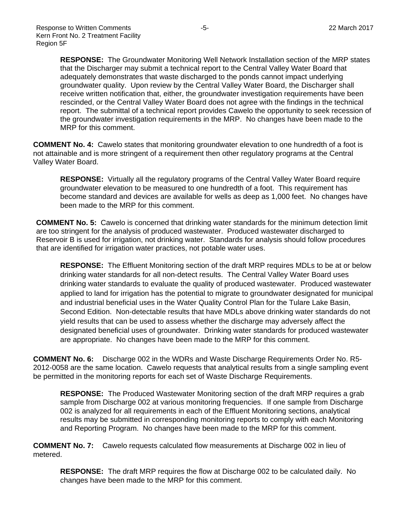**RESPONSE:** The Groundwater Monitoring Well Network Installation section of the MRP states that the Discharger may submit a technical report to the Central Valley Water Board that adequately demonstrates that waste discharged to the ponds cannot impact underlying groundwater quality. Upon review by the Central Valley Water Board, the Discharger shall receive written notification that, either, the groundwater investigation requirements have been rescinded, or the Central Valley Water Board does not agree with the findings in the technical report. The submittal of a technical report provides Cawelo the opportunity to seek recession of the groundwater investigation requirements in the MRP. No changes have been made to the MRP for this comment.

**COMMENT No. 4:** Cawelo states that monitoring groundwater elevation to one hundredth of a foot is not attainable and is more stringent of a requirement then other regulatory programs at the Central Valley Water Board.

**RESPONSE:** Virtually all the regulatory programs of the Central Valley Water Board require groundwater elevation to be measured to one hundredth of a foot. This requirement has become standard and devices are available for wells as deep as 1,000 feet. No changes have been made to the MRP for this comment.

**COMMENT No. 5:** Cawelo is concerned that drinking water standards for the minimum detection limit are too stringent for the analysis of produced wastewater. Produced wastewater discharged to Reservoir B is used for irrigation, not drinking water. Standards for analysis should follow procedures that are identified for irrigation water practices, not potable water uses.

**RESPONSE:** The Effluent Monitoring section of the draft MRP requires MDLs to be at or below drinking water standards for all non-detect results. The Central Valley Water Board uses drinking water standards to evaluate the quality of produced wastewater. Produced wastewater applied to land for irrigation has the potential to migrate to groundwater designated for municipal and industrial beneficial uses in the Water Quality Control Plan for the Tulare Lake Basin, Second Edition. Non-detectable results that have MDLs above drinking water standards do not yield results that can be used to assess whether the discharge may adversely affect the designated beneficial uses of groundwater. Drinking water standards for produced wastewater are appropriate. No changes have been made to the MRP for this comment.

**COMMENT No. 6:** Discharge 002 in the WDRs and Waste Discharge Requirements Order No. R5- 2012-0058 are the same location. Cawelo requests that analytical results from a single sampling event be permitted in the monitoring reports for each set of Waste Discharge Requirements.

**RESPONSE:** The Produced Wastewater Monitoring section of the draft MRP requires a grab sample from Discharge 002 at various monitoring frequencies. If one sample from Discharge 002 is analyzed for all requirements in each of the Effluent Monitoring sections, analytical results may be submitted in corresponding monitoring reports to comply with each Monitoring and Reporting Program. No changes have been made to the MRP for this comment.

**COMMENT No. 7:** Cawelo requests calculated flow measurements at Discharge 002 in lieu of metered.

**RESPONSE:** The draft MRP requires the flow at Discharge 002 to be calculated daily. No changes have been made to the MRP for this comment.